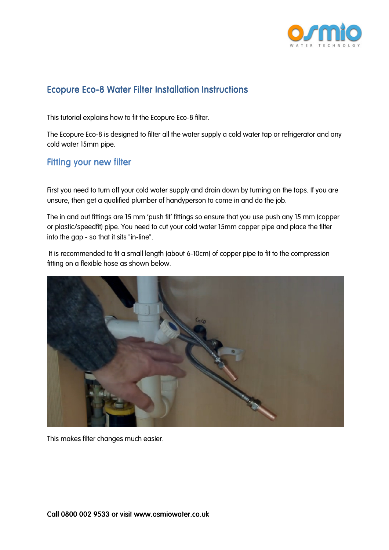

## Ecopure Eco-8 Water Filter Installation Instructions

This tutorial explains how to fit the Ecopure Eco-8 filter.

The Ecopure Eco-8 is designed to filter all the water supply a cold water tap or refrigerator and any cold water 15mm pipe.

## Fitting your new filter

First you need to turn off your cold water supply and drain down by turning on the taps. If you are unsure, then get a qualified plumber of handyperson to come in and do the job.

The in and out fittings are 15 mm 'push fit' fittings so ensure that you use push any 15 mm (copper or plastic/speedfit) pipe. You need to cut your cold water 15mm copper pipe and place the filter into the gap - so that it sits "in-line".

 It is recommended to fit a small length (about 6-10cm) of copper pipe to fit to the compression fitting on a flexible hose as shown below.



This makes filter changes much easier.